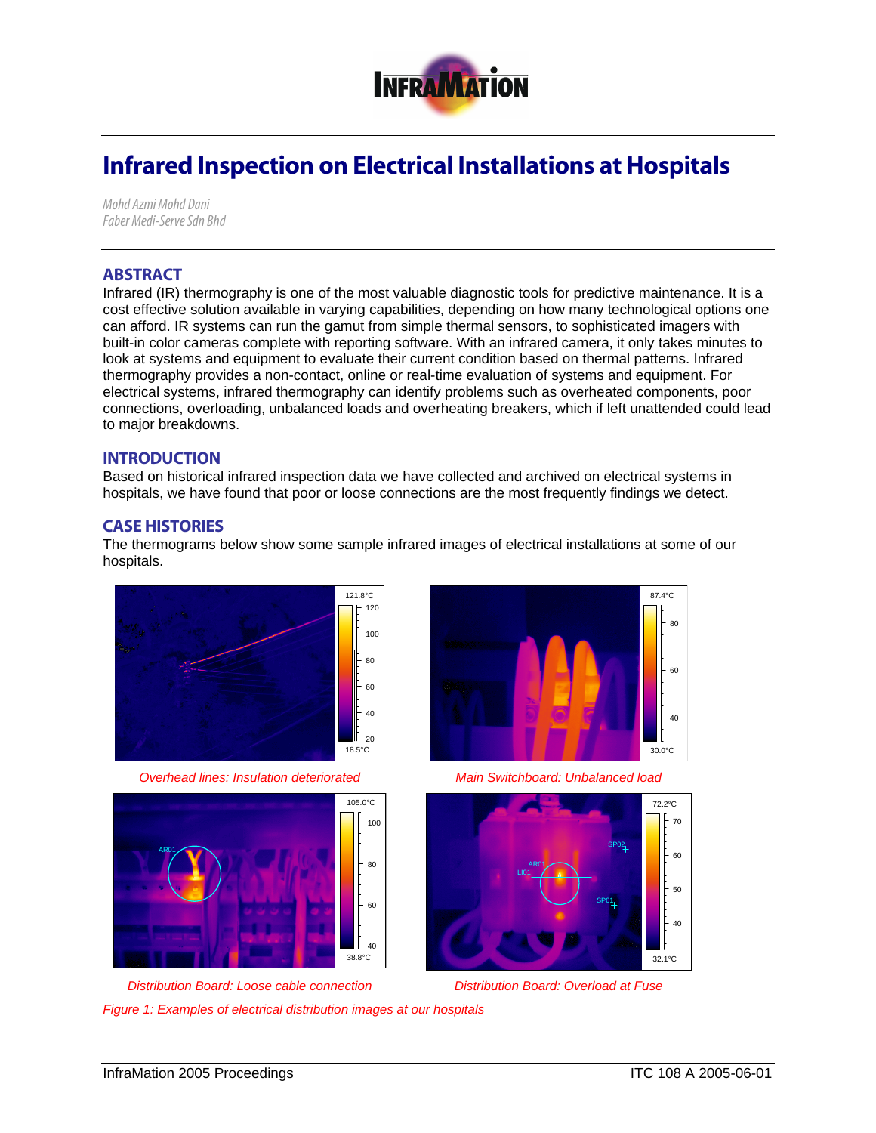

# Infrared Inspection on Electrical Installations at Hospitals

*Mohd Azmi Mohd Dani Faber Medi-Serve Sdn Bhd* 

## ABSTRACT

Infrared (IR) thermography is one of the most valuable diagnostic tools for predictive maintenance. It is a cost effective solution available in varying capabilities, depending on how many technological options one can afford. IR systems can run the gamut from simple thermal sensors, to sophisticated imagers with built-in color cameras complete with reporting software. With an infrared camera, it only takes minutes to look at systems and equipment to evaluate their current condition based on thermal patterns. Infrared thermography provides a non-contact, online or real-time evaluation of systems and equipment. For electrical systems, infrared thermography can identify problems such as overheated components, poor connections, overloading, unbalanced loads and overheating breakers, which if left unattended could lead to major breakdowns.

#### INTRODUCTION

Based on historical infrared inspection data we have collected and archived on electrical systems in hospitals, we have found that poor or loose connections are the most frequently findings we detect.

### CASE HISTORIES

The thermograms below show some sample infrared images of electrical installations at some of our hospitals.



*Overhead lines: Insulation deteriorated Main Switchboard: Unbalanced load* 





*Figure 1: Examples of electrical distribution images at our hospitals* 





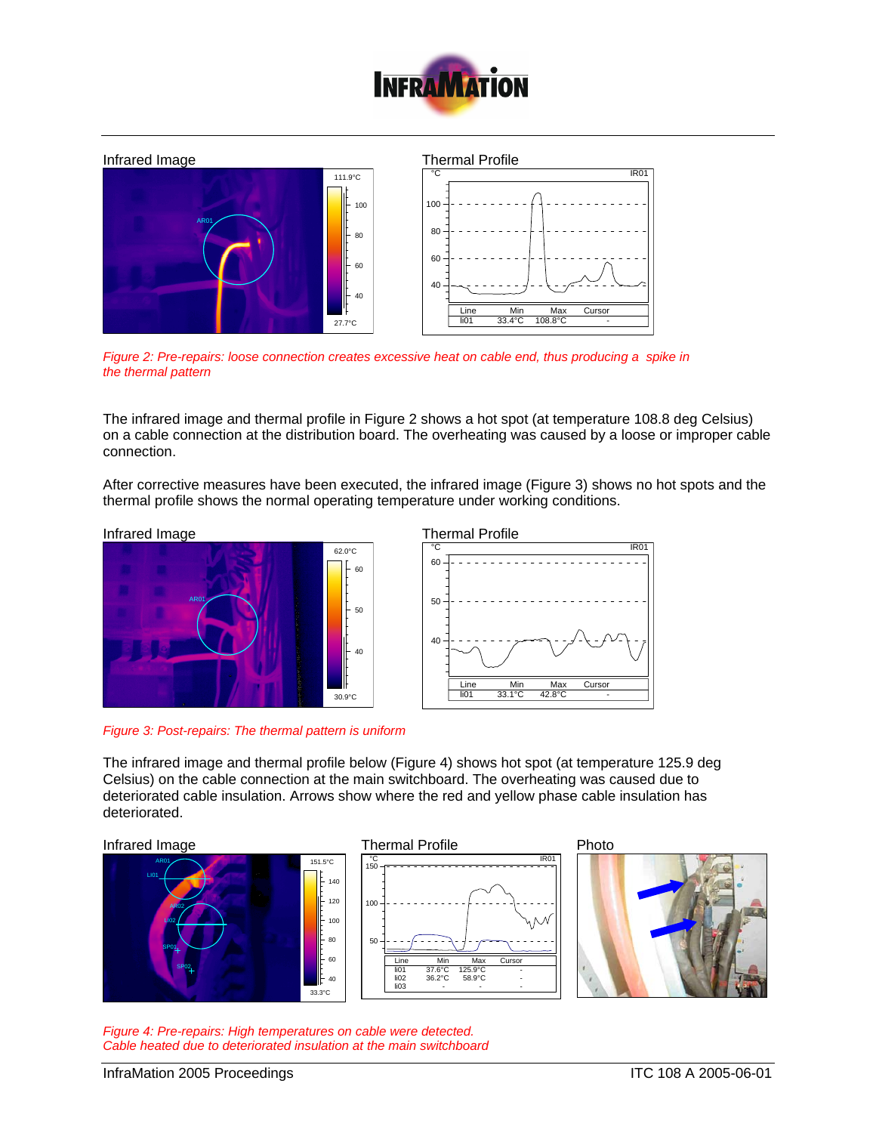



*Figure 2: Pre-repairs: loose connection creates excessive heat on cable end, thus producing a spike in the thermal pattern* 

The infrared image and thermal profile in Figure 2 shows a hot spot (at temperature 108.8 deg Celsius) on a cable connection at the distribution board. The overheating was caused by a loose or improper cable connection.

After corrective measures have been executed, the infrared image (Figure 3) shows no hot spots and the thermal profile shows the normal operating temperature under working conditions.



*Figure 3: Post-repairs: The thermal pattern is uniform* 



The infrared image and thermal profile below (Figure 4) shows hot spot (at temperature 125.9 deg Celsius) on the cable connection at the main switchboard. The overheating was caused due to deteriorated cable insulation. Arrows show where the red and yellow phase cable insulation has deteriorated.



*Figure 4: Pre-repairs: High temperatures on cable were detected. Cable heated due to deteriorated insulation at the main switchboard*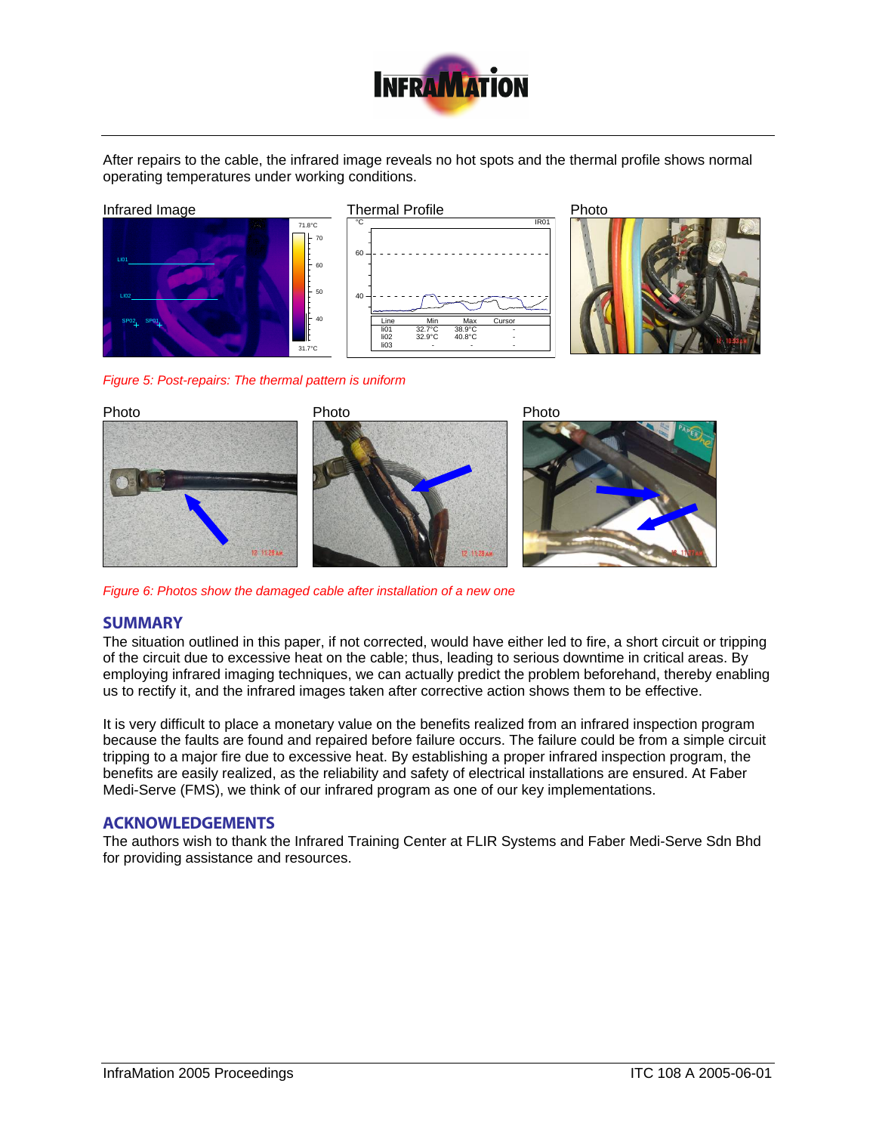

After repairs to the cable, the infrared image reveals no hot spots and the thermal profile shows normal operating temperatures under working conditions.



*Figure 5: Post-repairs: The thermal pattern is uniform* 



*Figure 6: Photos show the damaged cable after installation of a new one* 

### **SUMMARY**

The situation outlined in this paper, if not corrected, would have either led to fire, a short circuit or tripping of the circuit due to excessive heat on the cable; thus, leading to serious downtime in critical areas. By employing infrared imaging techniques, we can actually predict the problem beforehand, thereby enabling us to rectify it, and the infrared images taken after corrective action shows them to be effective.

It is very difficult to place a monetary value on the benefits realized from an infrared inspection program because the faults are found and repaired before failure occurs. The failure could be from a simple circuit tripping to a major fire due to excessive heat. By establishing a proper infrared inspection program, the benefits are easily realized, as the reliability and safety of electrical installations are ensured. At Faber Medi-Serve (FMS), we think of our infrared program as one of our key implementations.

### ACKNOWLEDGEMENTS

The authors wish to thank the Infrared Training Center at FLIR Systems and Faber Medi-Serve Sdn Bhd for providing assistance and resources.